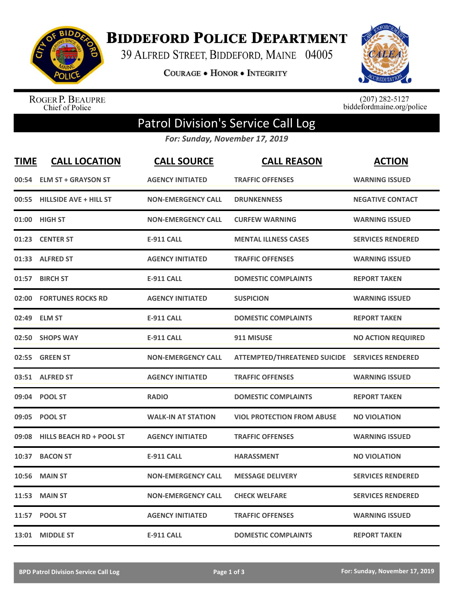

**BIDDEFORD POLICE DEPARTMENT** 

39 ALFRED STREET, BIDDEFORD, MAINE 04005

**COURAGE . HONOR . INTEGRITY** 



ROGER P. BEAUPRE<br>Chief of Police

 $(207)$  282-5127<br>biddefordmaine.org/police

## Patrol Division's Service Call Log

*For: Sunday, November 17, 2019*

| <b>TIME</b> | <b>CALL LOCATION</b>            | <b>CALL SOURCE</b>        | <b>CALL REASON</b>                             | <b>ACTION</b>             |
|-------------|---------------------------------|---------------------------|------------------------------------------------|---------------------------|
|             | 00:54 ELM ST + GRAYSON ST       | <b>AGENCY INITIATED</b>   | <b>TRAFFIC OFFENSES</b>                        | <b>WARNING ISSUED</b>     |
|             | 00:55 HILLSIDE AVE + HILL ST    | <b>NON-EMERGENCY CALL</b> | <b>DRUNKENNESS</b>                             | <b>NEGATIVE CONTACT</b>   |
| 01:00       | <b>HIGH ST</b>                  | <b>NON-EMERGENCY CALL</b> | <b>CURFEW WARNING</b>                          | <b>WARNING ISSUED</b>     |
| 01:23       | <b>CENTER ST</b>                | <b>E-911 CALL</b>         | <b>MENTAL ILLNESS CASES</b>                    | <b>SERVICES RENDERED</b>  |
|             | 01:33 ALFRED ST                 | <b>AGENCY INITIATED</b>   | <b>TRAFFIC OFFENSES</b>                        | <b>WARNING ISSUED</b>     |
| 01:57       | <b>BIRCH ST</b>                 | <b>E-911 CALL</b>         | <b>DOMESTIC COMPLAINTS</b>                     | <b>REPORT TAKEN</b>       |
| 02:00       | <b>FORTUNES ROCKS RD</b>        | <b>AGENCY INITIATED</b>   | <b>SUSPICION</b>                               | <b>WARNING ISSUED</b>     |
| 02:49       | <b>ELM ST</b>                   | <b>E-911 CALL</b>         | <b>DOMESTIC COMPLAINTS</b>                     | <b>REPORT TAKEN</b>       |
| 02:50       | <b>SHOPS WAY</b>                | <b>E-911 CALL</b>         | 911 MISUSE                                     | <b>NO ACTION REQUIRED</b> |
| 02:55       | <b>GREEN ST</b>                 | <b>NON-EMERGENCY CALL</b> | ATTEMPTED/THREATENED SUICIDE SERVICES RENDERED |                           |
|             | 03:51 ALFRED ST                 | <b>AGENCY INITIATED</b>   | <b>TRAFFIC OFFENSES</b>                        | <b>WARNING ISSUED</b>     |
|             | 09:04 POOL ST                   | <b>RADIO</b>              | <b>DOMESTIC COMPLAINTS</b>                     | <b>REPORT TAKEN</b>       |
|             | 09:05 POOL ST                   | <b>WALK-IN AT STATION</b> | <b>VIOL PROTECTION FROM ABUSE</b>              | <b>NO VIOLATION</b>       |
| 09:08       | <b>HILLS BEACH RD + POOL ST</b> | <b>AGENCY INITIATED</b>   | <b>TRAFFIC OFFENSES</b>                        | <b>WARNING ISSUED</b>     |
| 10:37       | <b>BACON ST</b>                 | <b>E-911 CALL</b>         | <b>HARASSMENT</b>                              | <b>NO VIOLATION</b>       |
| 10:56       | <b>MAIN ST</b>                  | <b>NON-EMERGENCY CALL</b> | <b>MESSAGE DELIVERY</b>                        | <b>SERVICES RENDERED</b>  |
| 11:53       | <b>MAIN ST</b>                  | <b>NON-EMERGENCY CALL</b> | <b>CHECK WELFARE</b>                           | <b>SERVICES RENDERED</b>  |
|             | 11:57 POOL ST                   | <b>AGENCY INITIATED</b>   | <b>TRAFFIC OFFENSES</b>                        | <b>WARNING ISSUED</b>     |
|             | 13:01 MIDDLE ST                 | <b>E-911 CALL</b>         | <b>DOMESTIC COMPLAINTS</b>                     | <b>REPORT TAKEN</b>       |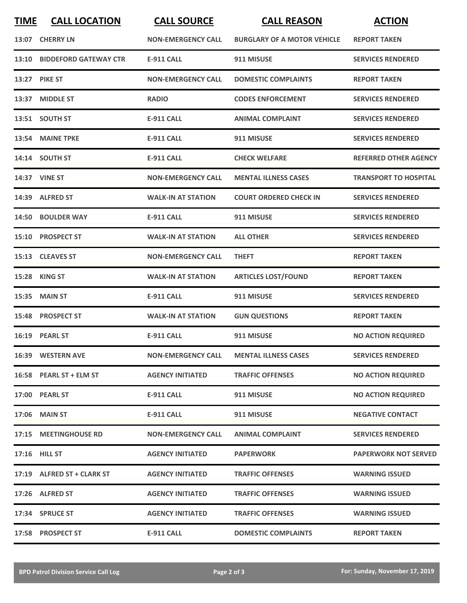| <b>TIME</b> | <b>CALL LOCATION</b>        | <b>CALL SOURCE</b>        | <b>CALL REASON</b>                 | <b>ACTION</b>                |
|-------------|-----------------------------|---------------------------|------------------------------------|------------------------------|
|             | 13:07 CHERRY LN             | <b>NON-EMERGENCY CALL</b> | <b>BURGLARY OF A MOTOR VEHICLE</b> | <b>REPORT TAKEN</b>          |
|             | 13:10 BIDDEFORD GATEWAY CTR | <b>E-911 CALL</b>         | 911 MISUSE                         | <b>SERVICES RENDERED</b>     |
| 13:27       | <b>PIKE ST</b>              | <b>NON-EMERGENCY CALL</b> | <b>DOMESTIC COMPLAINTS</b>         | <b>REPORT TAKEN</b>          |
|             | 13:37 MIDDLE ST             | <b>RADIO</b>              | <b>CODES ENFORCEMENT</b>           | <b>SERVICES RENDERED</b>     |
|             | 13:51 SOUTH ST              | <b>E-911 CALL</b>         | <b>ANIMAL COMPLAINT</b>            | <b>SERVICES RENDERED</b>     |
|             | 13:54 MAINE TPKE            | <b>E-911 CALL</b>         | 911 MISUSE                         | <b>SERVICES RENDERED</b>     |
|             | 14:14 SOUTH ST              | <b>E-911 CALL</b>         | <b>CHECK WELFARE</b>               | <b>REFERRED OTHER AGENCY</b> |
|             | 14:37 VINE ST               | <b>NON-EMERGENCY CALL</b> | <b>MENTAL ILLNESS CASES</b>        | <b>TRANSPORT TO HOSPITAL</b> |
|             | 14:39 ALFRED ST             | <b>WALK-IN AT STATION</b> | <b>COURT ORDERED CHECK IN</b>      | <b>SERVICES RENDERED</b>     |
|             | 14:50 BOULDER WAY           | <b>E-911 CALL</b>         | 911 MISUSE                         | <b>SERVICES RENDERED</b>     |
|             | 15:10 PROSPECT ST           | <b>WALK-IN AT STATION</b> | <b>ALL OTHER</b>                   | <b>SERVICES RENDERED</b>     |
|             | 15:13 CLEAVES ST            | <b>NON-EMERGENCY CALL</b> | <b>THEFT</b>                       | <b>REPORT TAKEN</b>          |
| 15:28       | <b>KING ST</b>              | <b>WALK-IN AT STATION</b> | <b>ARTICLES LOST/FOUND</b>         | <b>REPORT TAKEN</b>          |
| 15:35       | <b>MAIN ST</b>              | <b>E-911 CALL</b>         | 911 MISUSE                         | <b>SERVICES RENDERED</b>     |
|             | 15:48 PROSPECT ST           | <b>WALK-IN AT STATION</b> | <b>GUN QUESTIONS</b>               | <b>REPORT TAKEN</b>          |
|             | 16:19 PEARL ST              | <b>E-911 CALL</b>         | 911 MISUSE                         | <b>NO ACTION REQUIRED</b>    |
|             | 16:39 WESTERN AVE           | <b>NON-EMERGENCY CALL</b> | <b>MENTAL ILLNESS CASES</b>        | <b>SERVICES RENDERED</b>     |
|             | 16:58 PEARL ST + ELM ST     | <b>AGENCY INITIATED</b>   | <b>TRAFFIC OFFENSES</b>            | <b>NO ACTION REQUIRED</b>    |
|             | 17:00 PEARL ST              | <b>E-911 CALL</b>         | 911 MISUSE                         | <b>NO ACTION REQUIRED</b>    |
|             | 17:06 MAIN ST               | <b>E-911 CALL</b>         | 911 MISUSE                         | <b>NEGATIVE CONTACT</b>      |
|             | 17:15 MEETINGHOUSE RD       | <b>NON-EMERGENCY CALL</b> | <b>ANIMAL COMPLAINT</b>            | <b>SERVICES RENDERED</b>     |
|             | 17:16 HILL ST               | <b>AGENCY INITIATED</b>   | <b>PAPERWORK</b>                   | <b>PAPERWORK NOT SERVED</b>  |
|             | 17:19 ALFRED ST + CLARK ST  | <b>AGENCY INITIATED</b>   | <b>TRAFFIC OFFENSES</b>            | <b>WARNING ISSUED</b>        |
|             | 17:26 ALFRED ST             | <b>AGENCY INITIATED</b>   | <b>TRAFFIC OFFENSES</b>            | <b>WARNING ISSUED</b>        |
|             | 17:34 SPRUCE ST             | <b>AGENCY INITIATED</b>   | <b>TRAFFIC OFFENSES</b>            | <b>WARNING ISSUED</b>        |
|             | 17:58 PROSPECT ST           | <b>E-911 CALL</b>         | <b>DOMESTIC COMPLAINTS</b>         | <b>REPORT TAKEN</b>          |